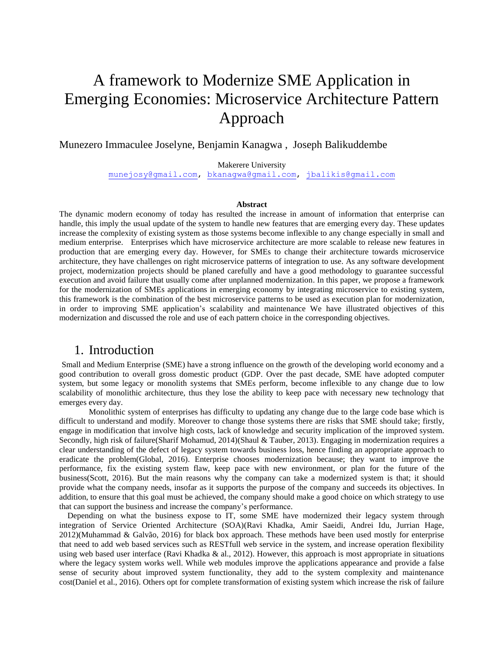# A framework to Modernize SME Application in Emerging Economies: Microservice Architecture Pattern Approach

#### Munezero Immaculee Joselyne, Benjamin Kanagwa , Joseph Balikuddembe

Makerere University

[munejosy@gmail.com,](mailto:munejosy@gmail.com) [bkanagwa@gmail.com,](mailto:bkanagwa@gmail.com) [jbalikis@gmail.com](mailto:jbalikis@gmail.com)

#### **Abstract**

The dynamic modern economy of today has resulted the increase in amount of information that enterprise can handle, this imply the usual update of the system to handle new features that are emerging every day. These updates increase the complexity of existing system as those systems become inflexible to any change especially in small and medium enterprise. Enterprises which have microservice architecture are more scalable to release new features in production that are emerging every day. However, for SMEs to change their architecture towards microservice architecture, they have challenges on right microservice patterns of integration to use. As any software development project, modernization projects should be planed carefully and have a good methodology to guarantee successful execution and avoid failure that usually come after unplanned modernization. In this paper, we propose a framework for the modernization of SMEs applications in emerging economy by integrating microservice to existing system, this framework is the combination of the best microservice patterns to be used as execution plan for modernization, in order to improving SME application's scalability and maintenance We have illustrated objectives of this modernization and discussed the role and use of each pattern choice in the corresponding objectives.

### 1. Introduction

Small and Medium Enterprise (SME) have a strong influence on the growth of the developing world economy and a good contribution to overall gross domestic product (GDP. Over the past decade, SME have adopted computer system, but some legacy or monolith systems that SMEs perform, become inflexible to any change due to low scalability of monolithic architecture, thus they lose the ability to keep pace with necessary new technology that emerges every day.

Monolithic system of enterprises has difficulty to updating any change due to the large code base which is difficult to understand and modify. Moreover to change those systems there are risks that SME should take; firstly, engage in modification that involve high costs, lack of knowledge and security implication of the improved system. Secondly, high risk of failure(Sharif Mohamud, 2014)(Shaul & Tauber, 2013). Engaging in modernization requires a clear understanding of the defect of legacy system towards business loss, hence finding an appropriate approach to eradicate the problem(Global, 2016). Enterprise chooses modernization because; they want to improve the performance, fix the existing system flaw, keep pace with new environment, or plan for the future of the business(Scott, 2016). But the main reasons why the company can take a modernized system is that; it should provide what the company needs, insofar as it supports the purpose of the company and succeeds its objectives. In addition, to ensure that this goal must be achieved, the company should make a good choice on which strategy to use that can support the business and increase the company's performance.

Depending on what the business expose to IT, some SME have modernized their legacy system through integration of Service Oriented Architecture (SOA)(Ravi Khadka, Amir Saeidi, Andrei Idu, Jurrian Hage, 2012)(Muhammad & Galvão, 2016) for black box approach. These methods have been used mostly for enterprise that need to add web based services such as RESTfull web service in the system, and increase operation flexibility using web based user interface (Ravi Khadka & al., 2012). However, this approach is most appropriate in situations where the legacy system works well. While web modules improve the applications appearance and provide a false sense of security about improved system functionality, they add to the system complexity and maintenance cost(Daniel et al., 2016). Others opt for complete transformation of existing system which increase the risk of failure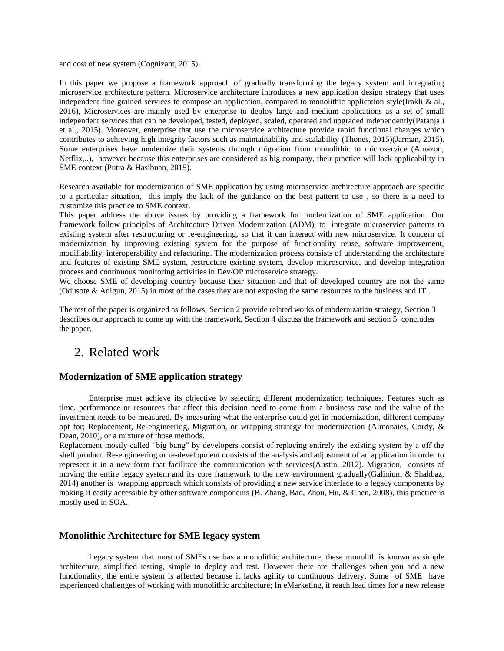and cost of new system (Cognizant, 2015).

In this paper we propose a framework approach of gradually transforming the legacy system and integrating microservice architecture pattern. Microservice architecture introduces a new application design strategy that uses independent fine grained services to compose an application, compared to monolithic application style(Irakli & al., 2016), Microservices are mainly used by enterprise to deploy large and medium applications as a set of small independent services that can be developed, tested, deployed, scaled, operated and upgraded independently(Patanjali et al., 2015). Moreover, enterprise that use the microservice architecture provide rapid functional changes which contributes to achieving high integrity factors such as maintainability and scalability (Thones, 2015)(Jarman, 2015). Some enterprises have modernize their systems through migration from monolithic to microservice (Amazon, Netflix,..), however because this enterprises are considered as big company, their practice will lack applicability in SME context (Putra & Hasibuan, 2015).

Research available for modernization of SME application by using microservice architecture approach are specific to a particular situation, this imply the lack of the guidance on the best pattern to use , so there is a need to customize this practice to SME context.

This paper address the above issues by providing a framework for modernization of SME application. Our framework follow principles of Architecture Driven Modernization (ADM), to integrate microservice patterns to existing system after restructuring or re-engineering, so that it can interact with new microservice. It concern of modernization by improving existing system for the purpose of functionality reuse, software improvement, modifiability, interoperability and refactoring. The modernization process consists of understanding the architecture and features of existing SME system, restructure existing system, develop microservice, and develop integration process and continuous monitoring activities in Dev/OP microservice strategy.

We choose SME of developing country because their situation and that of developed country are not the same (Odusote & Adigun, 2015) in most of the cases they are not exposing the same resources to the business and IT .

The rest of the paper is organized as follows; Section 2 provide related works of modernization strategy, Section 3 describes our approach to come up with the framework, Section 4 discuss the framework and section 5 concludes the paper.

### 2. Related work

#### **Modernization of SME application strategy**

Enterprise must achieve its objective by selecting different modernization techniques. Features such as time, performance or resources that affect this decision need to come from a business case and the value of the investment needs to be measured. By measuring what the enterprise could get in modernization, different company opt for; Replacement, Re-engineering, Migration, or wrapping strategy for modernization (Almonaies, Cordy, & Dean, 2010), or a mixture of those methods.

Replacement mostly called "big bang" by developers consist of replacing entirely the existing system by a off the shelf product. Re-engineering or re-development consists of the analysis and adjustment of an application in order to represent it in a new form that facilitate the communication with services(Austin, 2012). Migration, consists of moving the entire legacy system and its core framework to the new environment gradually(Galinium & Shahbaz, 2014) another is wrapping approach which consists of providing a new service interface to a legacy components by making it easily accessible by other software components (B. Zhang, Bao, Zhou, Hu, & Chen, 2008), this practice is mostly used in SOA.

#### **Monolithic Architecture for SME legacy system**

Legacy system that most of SMEs use has a monolithic architecture, these monolith is known as simple architecture, simplified testing, simple to deploy and test. However there are challenges when you add a new functionality, the entire system is affected because it lacks agility to continuous delivery. Some of SME have experienced challenges of working with monolithic architecture; In eMarketing, it reach lead times for a new release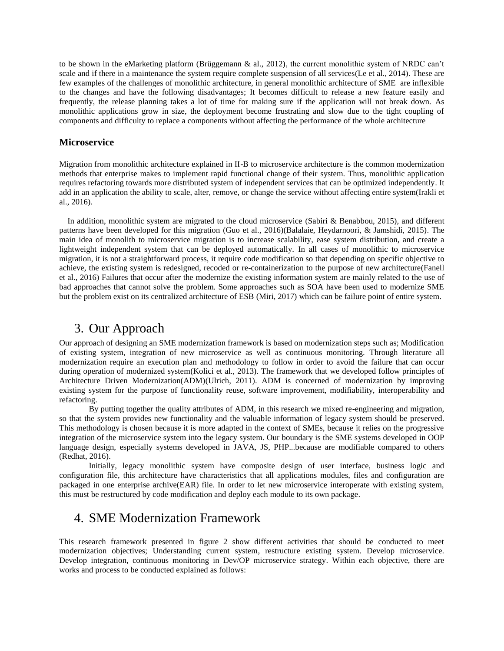to be shown in the eMarketing platform (Brüggemann & al., 2012), the current monolithic system of NRDC can't scale and if there in a maintenance the system require complete suspension of all services(Le et al., 2014). These are few examples of the challenges of monolithic architecture, in general monolithic architecture of SME are inflexible to the changes and have the following disadvantages; It becomes difficult to release a new feature easily and frequently, the release planning takes a lot of time for making sure if the application will not break down. As monolithic applications grow in size, the deployment become frustrating and slow due to the tight coupling of components and difficulty to replace a components without affecting the performance of the whole architecture

#### **Microservice**

Migration from monolithic architecture explained in II-B to microservice architecture is the common modernization methods that enterprise makes to implement rapid functional change of their system. Thus, monolithic application requires refactoring towards more distributed system of independent services that can be optimized independently. It add in an application the ability to scale, alter, remove, or change the service without affecting entire system(Irakli et al., 2016).

In addition, monolithic system are migrated to the cloud microservice (Sabiri & Benabbou, 2015), and different patterns have been developed for this migration (Guo et al., 2016)(Balalaie, Heydarnoori, & Jamshidi, 2015). The main idea of monolith to microservice migration is to increase scalability, ease system distribution, and create a lightweight independent system that can be deployed automatically. In all cases of monolithic to microservice migration, it is not a straightforward process, it require code modification so that depending on specific objective to achieve, the existing system is redesigned, recoded or re-containerization to the purpose of new architecture(Fanell et al., 2016) Failures that occur after the modernize the existing information system are mainly related to the use of bad approaches that cannot solve the problem. Some approaches such as SOA have been used to modernize SME but the problem exist on its centralized architecture of ESB (Miri, 2017) which can be failure point of entire system.

### 3. Our Approach

Our approach of designing an SME modernization framework is based on modernization steps such as; Modification of existing system, integration of new microservice as well as continuous monitoring. Through literature all modernization require an execution plan and methodology to follow in order to avoid the failure that can occur during operation of modernized system(Kolici et al., 2013). The framework that we developed follow principles of Architecture Driven Modernization(ADM)(Ulrich, 2011). ADM is concerned of modernization by improving existing system for the purpose of functionality reuse, software improvement, modifiability, interoperability and refactoring.

By putting together the quality attributes of ADM, in this research we mixed re-engineering and migration, so that the system provides new functionality and the valuable information of legacy system should be preserved. This methodology is chosen because it is more adapted in the context of SMEs, because it relies on the progressive integration of the microservice system into the legacy system. Our boundary is the SME systems developed in OOP language design, especially systems developed in JAVA, JS, PHP...because are modifiable compared to others (Redhat, 2016).

Initially, legacy monolithic system have composite design of user interface, business logic and configuration file, this architecture have characteristics that all applications modules, files and configuration are packaged in one enterprise archive(EAR) file. In order to let new microservice interoperate with existing system, this must be restructured by code modification and deploy each module to its own package.

### 4. SME Modernization Framework

This research framework presented in figure 2 show different activities that should be conducted to meet modernization objectives; Understanding current system, restructure existing system. Develop microservice. Develop integration, continuous monitoring in Dev/OP microservice strategy. Within each objective, there are works and process to be conducted explained as follows: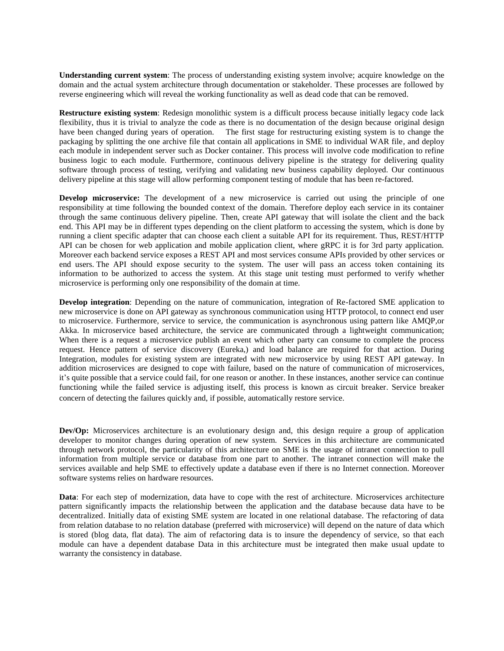**Understanding current system**: The process of understanding existing system involve; acquire knowledge on the domain and the actual system architecture through documentation or stakeholder. These processes are followed by reverse engineering which will reveal the working functionality as well as dead code that can be removed.

**Restructure existing system**: Redesign monolithic system is a difficult process because initially legacy code lack flexibility, thus it is trivial to analyze the code as there is no documentation of the design because original design have been changed during years of operation. The first stage for restructuring existing system is to change the packaging by splitting the one archive file that contain all applications in SME to individual WAR file, and deploy each module in independent server such as Docker container. This process will involve code modification to refine business logic to each module. Furthermore, continuous delivery pipeline is the strategy for delivering quality software through process of testing, verifying and validating new business capability deployed. Our continuous delivery pipeline at this stage will allow performing component testing of module that has been re-factored.

**Develop microservice:** The development of a new microservice is carried out using the principle of one responsibility at time following the bounded context of the domain. Therefore deploy each service in its container through the same continuous delivery pipeline. Then, create API gateway that will isolate the client and the back end. This API may be in different types depending on the client platform to accessing the system, which is done by running a client specific adapter that can choose each client a suitable API for its requirement. Thus, REST/HTTP API can be chosen for web application and mobile application client, where gRPC it is for 3rd party application. Moreover each backend service exposes a REST API and most services consume APIs provided by other services or end users. The API should expose security to the system. The user will pass an access token containing its information to be authorized to access the system. At this stage unit testing must performed to verify whether microservice is performing only one responsibility of the domain at time.

**Develop integration**: Depending on the nature of communication, integration of Re-factored SME application to new microservice is done on API gateway as synchronous communication using HTTP protocol, to connect end user to microservice. Furthermore, service to service, the communication is asynchronous using pattern like AMQP,or Akka. In microservice based architecture, the service are communicated through a lightweight communication; When there is a request a microservice publish an event which other party can consume to complete the process request. Hence pattern of service discovery (Eureka,) and load balance are required for that action. During Integration, modules for existing system are integrated with new microservice by using REST API gateway. In addition microservices are designed to cope with failure, based on the nature of communication of microservices, it's quite possible that a service could fail, for one reason or another. In these instances, another service can continue functioning while the failed service is adjusting itself, this process is known as circuit breaker. Service breaker concern of detecting the failures quickly and, if possible, automatically restore service.

**Dev/Op:** Microservices architecture is an evolutionary design and, this design require a group of application developer to monitor changes during operation of new system. Services in this architecture are communicated through network protocol, the particularity of this architecture on SME is the usage of intranet connection to pull information from multiple service or database from one part to another. The intranet connection will make the services available and help SME to effectively update a database even if there is no Internet connection. Moreover software systems relies on hardware resources.

**Data**: For each step of modernization, data have to cope with the rest of architecture. Microservices architecture pattern significantly impacts the relationship between the application and the database because data have to be decentralized. Initially data of existing SME system are located in one relational database. The refactoring of data from relation database to no relation database (preferred with microservice) will depend on the nature of data which is stored (blog data, flat data). The aim of refactoring data is to insure the dependency of service, so that each module can have a dependent database Data in this architecture must be integrated then make usual update to warranty the consistency in database.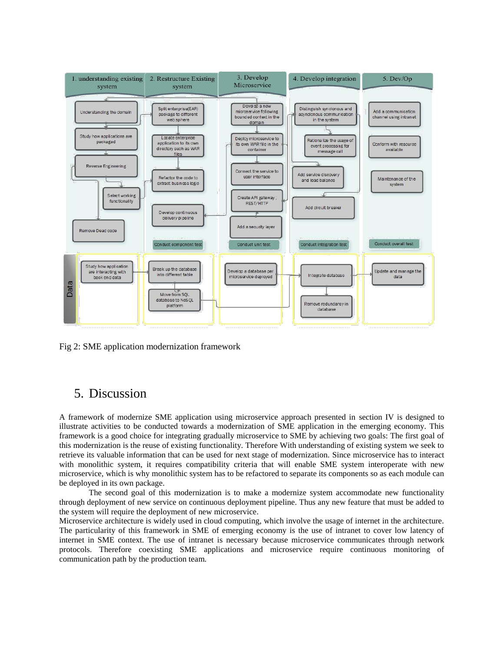

Fig 2: SME application modernization framework

### 5. Discussion

A framework of modernize SME application using microservice approach presented in section IV is designed to illustrate activities to be conducted towards a modernization of SME application in the emerging economy. This framework is a good choice for integrating gradually microservice to SME by achieving two goals: The first goal of this modernization is the reuse of existing functionality. Therefore With understanding of existing system we seek to retrieve its valuable information that can be used for next stage of modernization. Since microservice has to interact with monolithic system, it requires compatibility criteria that will enable SME system interoperate with new microservice, which is why monolithic system has to be refactored to separate its components so as each module can be deployed in its own package.

The second goal of this modernization is to make a modernize system accommodate new functionality through deployment of new service on continuous deployment pipeline. Thus any new feature that must be added to the system will require the deployment of new microservice.

Microservice architecture is widely used in cloud computing, which involve the usage of internet in the architecture. The particularity of this framework in SME of emerging economy is the use of intranet to cover low latency of internet in SME context. The use of intranet is necessary because microservice communicates through network protocols. Therefore coexisting SME applications and microservice require continuous monitoring of communication path by the production team.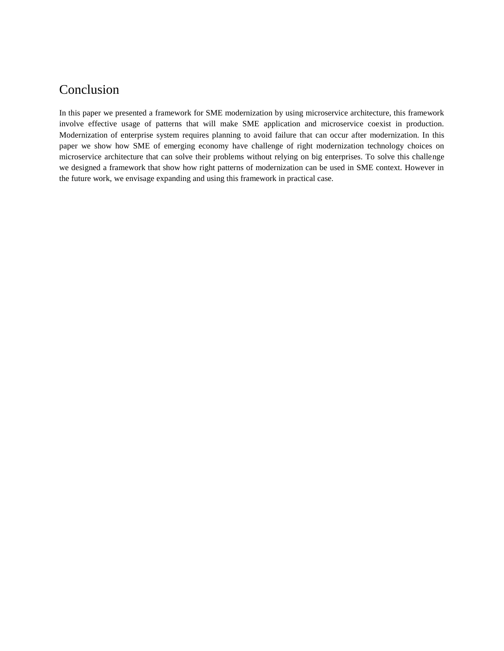## Conclusion

In this paper we presented a framework for SME modernization by using microservice architecture, this framework involve effective usage of patterns that will make SME application and microservice coexist in production. Modernization of enterprise system requires planning to avoid failure that can occur after modernization. In this paper we show how SME of emerging economy have challenge of right modernization technology choices on microservice architecture that can solve their problems without relying on big enterprises. To solve this challenge we designed a framework that show how right patterns of modernization can be used in SME context. However in the future work, we envisage expanding and using this framework in practical case.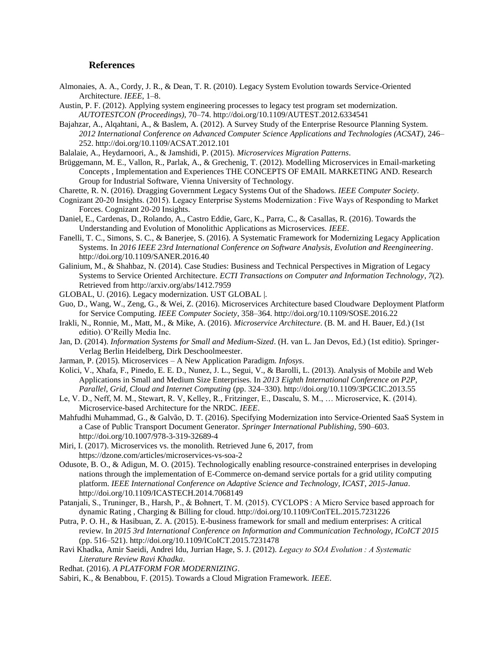#### **References**

- Almonaies, A. A., Cordy, J. R., & Dean, T. R. (2010). Legacy System Evolution towards Service-Oriented Architecture. *IEEE*, 1–8.
- Austin, P. F. (2012). Applying system engineering processes to legacy test program set modernization. *AUTOTESTCON (Proceedings)*, 70–74. http://doi.org/10.1109/AUTEST.2012.6334541
- Bajahzar, A., Alqahtani, A., & Baslem, A. (2012). A Survey Study of the Enterprise Resource Planning System. *2012 International Conference on Advanced Computer Science Applications and Technologies (ACSAT)*, 246– 252. http://doi.org/10.1109/ACSAT.2012.101
- Balalaie, A., Heydarnoori, A., & Jamshidi, P. (2015). *Microservices Migration Patterns*.
- Brüggemann, M. E., Vallon, R., Parlak, A., & Grechenig, T. (2012). Modelling Microservices in Email-marketing Concepts , Implementation and Experiences THE CONCEPTS OF EMAIL MARKETING AND. Research Group for Industrial Software, Vienna University of Technology.
- Charette, R. N. (2016). Dragging Government Legacy Systems Out of the Shadows. *IEEE Computer Society*.
- Cognizant 20-20 Insights. (2015). Legacy Enterprise Systems Modernization : Five Ways of Responding to Market Forces. Cognizant 20-20 Insights.
- Daniel, E., Cardenas, D., Rolando, A., Castro Eddie, Garc, K., Parra, C., & Casallas, R. (2016). Towards the Understanding and Evolution of Monolithic Applications as Microservices. *IEEE*.
- Fanelli, T. C., Simons, S. C., & Banerjee, S. (2016). A Systematic Framework for Modernizing Legacy Application Systems. In *2016 IEEE 23rd International Conference on Software Analysis, Evolution and Reengineering*. http://doi.org/10.1109/SANER.2016.40
- Galinium, M., & Shahbaz, N. (2014). Case Studies: Business and Technical Perspectives in Migration of Legacy Systems to Service Oriented Architecture. *ECTI Transactions on Computer and Information Technology*, *7*(2). Retrieved from http://arxiv.org/abs/1412.7959
- GLOBAL, U. (2016). Legacy modernization. UST GLOBAL |.
- Guo, D., Wang, W., Zeng, G., & Wei, Z. (2016). Microservices Architecture based Cloudware Deployment Platform for Service Computing. *IEEE Computer Society*, 358–364. http://doi.org/10.1109/SOSE.2016.22
- Irakli, N., Ronnie, M., Matt, M., & Mike, A. (2016). *Microservice Architecture*. (B. M. and H. Bauer, Ed.) (1st editio). O'Reilly Media Inc.
- Jan, D. (2014). *Information Systems for Small and Medium-Sized*. (H. van L. Jan Devos, Ed.) (1st editio). Springer-Verlag Berlin Heidelberg, Dirk Deschoolmeester.
- Jarman, P. (2015). Microservices A New Application Paradigm. *Infosys*.
- Kolici, V., Xhafa, F., Pinedo, E. E. D., Nunez, J. L., Segui, V., & Barolli, L. (2013). Analysis of Mobile and Web Applications in Small and Medium Size Enterprises. In *2013 Eighth International Conference on P2P, Parallel, Grid, Cloud and Internet Computing* (pp. 324–330). http://doi.org/10.1109/3PGCIC.2013.55
- Le, V. D., Neff, M. M., Stewart, R. V, Kelley, R., Fritzinger, E., Dascalu, S. M., … Microservice, K. (2014). Microservice-based Architecture for the NRDC. *IEEE*.
- Mahfudhi Muhammad, G., & Galvão, D. T. (2016). Specifying Modernization into Service-Oriented SaaS System in a Case of Public Transport Document Generator. *Springer International Publishing*, 590–603. http://doi.org/10.1007/978-3-319-32689-4
- Miri, I. (2017). Microservices vs. the monolith. Retrieved June 6, 2017, from https://dzone.com/articles/microservices-vs-soa-2
- Odusote, B. O., & Adigun, M. O. (2015). Technologically enabling resource-constrained enterprises in developing nations through the implementation of E-Commerce on-demand service portals for a grid utility computing platform. *IEEE International Conference on Adaptive Science and Technology, ICAST*, *2015-Janua*. http://doi.org/10.1109/ICASTECH.2014.7068149
- Patanjali, S., Truninger, B., Harsh, P., & Bohnert, T. M. (2015). CYCLOPS : A Micro Service based approach for dynamic Rating , Charging & Billing for cloud. http://doi.org/10.1109/ConTEL.2015.7231226
- Putra, P. O. H., & Hasibuan, Z. A. (2015). E-business framework for small and medium enterprises: A critical review. In *2015 3rd International Conference on Information and Communication Technology, ICoICT 2015* (pp. 516–521). http://doi.org/10.1109/ICoICT.2015.7231478
- Ravi Khadka, Amir Saeidi, Andrei Idu, Jurrian Hage, S. J. (2012). *Legacy to SOA Evolution : A Systematic Literature Review Ravi Khadka*.
- Redhat. (2016). *A PLATFORM FOR MODERNIZING*.
- Sabiri, K., & Benabbou, F. (2015). Towards a Cloud Migration Framework. *IEEE*.